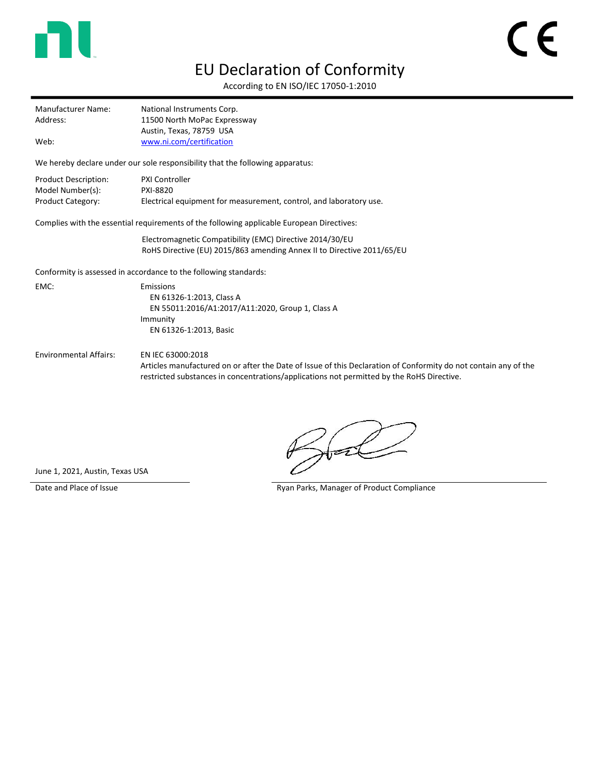

## EU Declaration of Conformity

According to EN ISO/IEC 17050-1:2010

| Manufacturer Name: | National Instruments Corp.   |
|--------------------|------------------------------|
| Address:           | 11500 North MoPac Expressway |
|                    | Austin, Texas, 78759 USA     |
| Web:               | www.ni.com/certification     |

We hereby declare under our sole responsibility that the following apparatus:

| Product Description: | <b>PXI Controller</b>                                              |
|----------------------|--------------------------------------------------------------------|
| Model Number(s):     | PXI-8820                                                           |
| Product Category:    | Electrical equipment for measurement, control, and laboratory use. |

Complies with the essential requirements of the following applicable European Directives:

Electromagnetic Compatibility (EMC) Directive 2014/30/EU RoHS Directive (EU) 2015/863 amending Annex II to Directive 2011/65/EU

Conformity is assessed in accordance to the following standards:

EMC: Emissions EN 61326-1:2013, Class A EN 55011:2016/A1:2017/A11:2020, Group 1, Class A Immunity EN 61326-1:2013, Basic

Environmental Affairs: EN IEC 63000:2018

Articles manufactured on or after the Date of Issue of this Declaration of Conformity do not contain any of the restricted substances in concentrations/applications not permitted by the RoHS Directive.

June 1, 2021, Austin, Texas USA

Date and Place of Issue **Ryan Parks, Manager of Product Compliance**